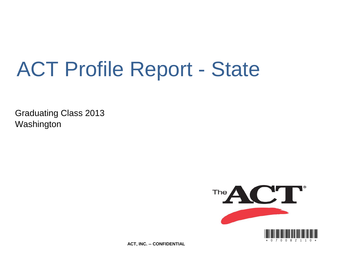# ACT Profile Report - State

Graduating Class 2013 Washington



**ACT, INC. -- CONFIDENTIAL**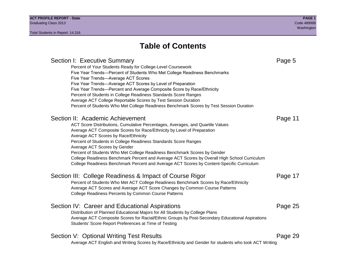# **Table of Contents**

### Section I: Executive Summary **Page 5** and the section I: Executive Summary Percent of Your Students Ready for College-Level Coursework Five Year Trends—Percent of Students Who Met College Readiness Benchmarks Five Year Trends—Average ACT Scores Five Year Trends—Average ACT Scores by Level of Preparation Five Year Trends—Percent and Average Composite Score by Race/Ethnicity Percent of Students in College Readiness Standards Score Ranges Average ACT College Reportable Scores by Test Session Duration Percent of Students Who Met College Readiness Benchmark Scores by Test Session Duration Section II: Academic Achievement **Page 11** Page 11 ACT Score Distributions, Cumulative Percentages, Averages, and Quartile Values Average ACT Composite Scores for Race/Ethnicity by Level of Preparation Average ACT Scores by Race/Ethnicity Percent of Students in College Readiness Standards Score Ranges Average ACT Scores by Gender Percent of Students Who Met College Readiness Benchmark Scores by Gender College Readiness Benchmark Percent and Average ACT Scores by Overall High School Curriculum College Readiness Benchmark Percent and Average ACT Scores by Content-Specific Curriculum Section III: College Readiness & Impact of Course Rigor Page 17 Percent of Students Who Met ACT College Readiness Benchmark Scores by Race/Ethnicity Average ACT Scores and Average ACT Score Changes by Common Course Patterns College Readiness Percents by Common Course Patterns Section IV: Career and Educational Aspirations **Page 25** Page 25 Distribution of Planned Educational Majors for All Students by College Plans Average ACT Composite Scores for Racial/Ethnic Groups by Post-Secondary Educational Aspirations Students' Score Report Preferences at Time of Testing Section V: Optional Writing Test Results **Page 29** Page 29 Average ACT English and Writing Scores by Race/Ethnicity and Gender for students who took ACT Writing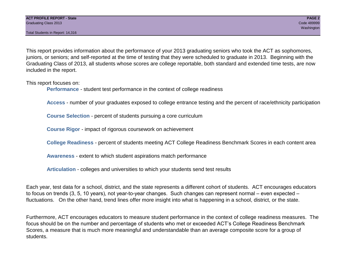Total Students in Report: 14,316

This report provides information about the performance of your 2013 graduating seniors who took the ACT as sophomores, juniors, or seniors; and self-reported at the time of testing that they were scheduled to graduate in 2013. Beginning with the Graduating Class of 2013, all students whose scores are college reportable, both standard and extended time tests, are now included in the report.

This report focuses on:

**Performance** - student test performance in the context of college readiness

**Access** - number of your graduates exposed to college entrance testing and the percent of race/ethnicity participation

**Course Selection** - percent of students pursuing a core curriculum

**Course Rigor** - impact of rigorous coursework on achievement

**College Readiness** - percent of students meeting ACT College Readiness Benchmark Scores in each content area

**Awareness** - extent to which student aspirations match performance

**Articulation** - colleges and universities to which your students send test results

Each year, test data for a school, district, and the state represents a different cohort of students. ACT encourages educators to focus on trends (3, 5, 10 years), not year-to-year changes. Such changes can represent normal – even expected – fluctuations. On the other hand, trend lines offer more insight into what is happening in a school, district, or the state.

Furthermore, ACT encourages educators to measure student performance in the context of college readiness measures. The focus should be on the number and percentage of students who met or exceeded ACT's College Readiness Benchmark Scores, a measure that is much more meaningful and understandable than an average composite score for a group of students.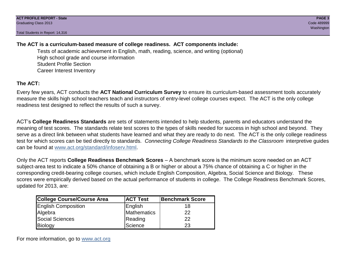Total Students in Report: 14,316

### **The ACT is a curriculum-based measure of college readiness. ACT components include:**

Tests of academic achievement in English, math, reading, science, and writing (optional) High school grade and course information Student Profile Section Career Interest Inventory

### **The ACT:**

Every few years, ACT conducts the **ACT National Curriculum Survey** to ensure its curriculum-based assessment tools accurately measure the skills high school teachers teach and instructors of entry-level college courses expect. The ACT is the only college readiness test designed to reflect the results of such a survey.

ACT's **College Readiness Standards** are sets of statements intended to help students, parents and educators understand the meaning of test scores. The standards relate test scores to the types of skills needed for success in high school and beyond. They serve as a direct link between what students have learned and what they are ready to do next. The ACT is the only college readiness test for which scores can be tied directly to standards. *Connecting College Readiness Standards to the Classroom* interpretive guides can be found at www.act.org/standard/infoserv.html.

Only the ACT reports **College Readiness Benchmark Scores** – A benchmark score is the minimum score needed on an ACT subject-area test to indicate a 50% chance of obtaining a B or higher or about a 75% chance of obtaining a C or higher in the corresponding credit-bearing college courses, which include English Composition, Algebra, Social Science and Biology. These scores were empirically derived based on the actual performance of students in college. The College Readiness Benchmark Scores, updated for 2013, are:

| College Course/Course Area | <b>ACT Test</b> | <b>Benchmark Score</b> |
|----------------------------|-----------------|------------------------|
| <b>English Composition</b> | English         | 18                     |
| Algebra                    | Mathematics     | 22                     |
| <b>Social Sciences</b>     | Reading         | 22                     |
| Biology                    | Science         | 23                     |

For more information, go to www.act.org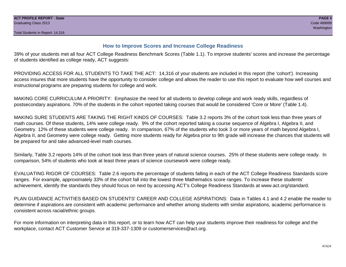#### **How to Improve Scores and Increase College Readiness**

39% of your students met all four ACT College Readiness Benchmark Scores (Table 1.1). To improve students' scores and increase the percentage of students identified as college ready, ACT suggests:

PROVIDING ACCESS FOR ALL STUDENTS TO TAKE THE ACT: 14,316 of your students are included in this report (the 'cohort'). Increasing access insures that more students have the opportunity to consider college and allows the reader to use this report to evaluate how well courses and instructional programs are preparing students for college and work.

MAKING CORE CURRICULUM A PRIORITY: Emphasize the need for all students to develop college and work ready skills, regardless of postsecondary aspirations. 70% of the students in the cohort reported taking courses that would be considered 'Core or More' (Table 1.4).

MAKING SURE STUDENTS ARE TAKING THE RIGHT KINDS OF COURSES: Table 3.2 reports 3% of the cohort took less than three years of math courses. Of these students, 14% were college ready. 9% of the cohort reported taking a course sequence of Algebra I, Algebra II, and Geometry. 12% of these students were college ready. In comparison, 67% of the students who took 3 or more years of math beyond Algebra I, Algebra II, and Geometry were college ready. Getting more students ready for Algebra prior to 9th grade will increase the chances that students will be prepared for and take advanced-level math courses.

Similarly, Table 3.2 reports 14% of the cohort took less than three years of natural science courses. 25% of these students were college ready. In comparison, 54% of students who took at least three years of science coursework were college ready.

EVALUATING RIGOR OF COURSES: Table 2.6 reports the percentage of students falling in each of the ACT College Readiness Standards score ranges. For example, approximately 33% of the cohort fall into the lowest three Mathematics score ranges. To increase these students' achievement, identify the standards they should focus on next by accessing ACT's College Readiness Standards at www.act.org/standard.

PLAN GUIDANCE ACTIVITIES BASED ON STUDENTS' CAREER AND COLLEGE ASPIRATIONS: Data in Tables 4.1 and 4.2 enable the reader to determine if aspirations are consistent with academic performance and whether among students with similar aspirations, academic performance is consistent across racial/ethnic groups.

For more information on interpreting data in this report, or to learn how ACT can help your students improve their readiness for college and the workplace, contact ACT Customer Service at 319-337-1309 or customerservices@act.org.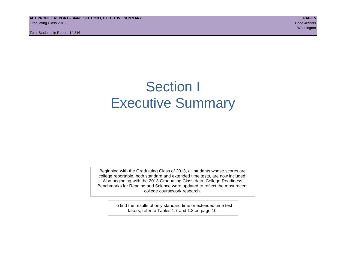**ACT PROFILE REPORT - State: SECTION I, EXECUTIVE SUMMARY PAGE 5** Graduating Class 2013 Code 489999

Total Students in Report: 14,316

# Section I Executive Summary

Beginning with the Graduating Class of 2013, all students whose scores are college reportable, both standard and extended time tests, are now included. Also beginning with the 2013 Graduating Class data, College Readiness Benchmarks for Reading and Science were updated to reflect the most recent college coursework research.

> To find the results of only standard time or extended time test takers, refer to Tables 1.7 and 1.8 on page 10.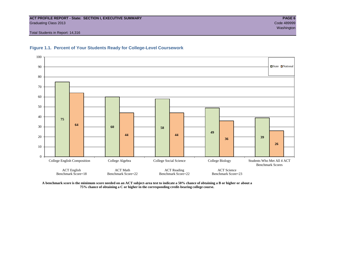#### **ACT PROFILE REPORT - State: SECTION I, EXECUTIVE SUMMARY PAGE 6** Graduating Class 2013 Code 489999

Total Students in Report: 14,316





**A benchmark score is the minimum score needed on an ACT subject-area test to indicate a 50% chance of obtaining a B or higher or about a 75% chance of obtaining a C or higher in the corresponding credit-bearing college course.**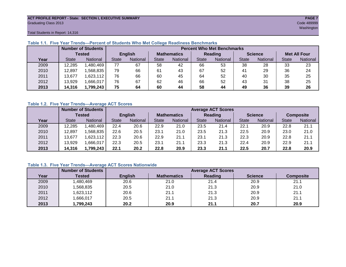# **ACT PROFILE REPORT - State: SECTION I, EXECUTIVE SUMMARY PAGE 7** Graduating Class 2013 Code 489999

washington and the control of the control of the control of the control of the control of the control of the control of the control of the control of the control of the control of the control of the control of the control

Total Students in Report: 14,316

|      |              | <b>Number of Students</b> |                | <b>Percent Who Met Benchmarks</b> |                    |          |              |          |                |          |                     |          |  |  |  |
|------|--------------|---------------------------|----------------|-----------------------------------|--------------------|----------|--------------|----------|----------------|----------|---------------------|----------|--|--|--|
|      |              | <b>Tested</b>             | <b>English</b> |                                   | <b>Mathematics</b> |          | Reading      |          | <b>Science</b> |          | <b>Met All Four</b> |          |  |  |  |
| Year | <b>State</b> | <b>National</b>           | <b>State</b>   | National                          |                    | National | <b>State</b> | National |                | National | <b>State</b>        | National |  |  |  |
| 2009 | 12,285       | .480,469                  | 77             | 67                                | 58                 | 42       | 66           | 53       | 38             | 28       | 33                  | 23       |  |  |  |
| 2010 | 12,897       | .568.835                  | 79             | 66                                | 61                 | 43       | 67           | 52       | 41             | 29       | 36                  | 24       |  |  |  |
| 2011 | 13,677       | .623,112                  | 76             | 66                                | 60                 | 45       | 64           | 52       | 40             | 30       | 35                  | 25       |  |  |  |
| 2012 | 13,929       | .666,017                  | 76             | 67                                | 62                 | 46       | 66           | 52       | 43             | 31       | 38                  | 25       |  |  |  |
| 2013 | 14,316       | 1,799,243                 | 75             | 64                                | 60                 | 44       | 58           | 44       | 49             | 36       | 39                  | 26       |  |  |  |

#### **Table 1.1. Five Year Trends—Percent of Students Who Met College Readiness Benchmarks**

#### **Table 1.2. Five Year Trends—Average ACT Scores**

|      |              | <b>Number of Students</b> |              | <b>Average ACT Scores</b> |                    |                 |                |                 |                |          |                  |          |  |
|------|--------------|---------------------------|--------------|---------------------------|--------------------|-----------------|----------------|-----------------|----------------|----------|------------------|----------|--|
|      |              | Tested                    |              | <b>English</b>            | <b>Mathematics</b> |                 | <b>Reading</b> |                 | <b>Science</b> |          | <b>Composite</b> |          |  |
| Year | <b>State</b> | National                  | <b>State</b> | <b>National</b>           |                    | <b>National</b> | <b>State</b>   | <b>National</b> | <b>State</b>   | National | <b>State</b>     | National |  |
| 2009 | 12,285       | .480.469                  | 22.4         | 20.6                      | 22.9               | 21.0            | 23.5           | 21.4            | 22.1           | 20.9     | 22.8             | 21.1     |  |
| 2010 | 12.897       | .568.835                  | 22.6         | 20.5                      | 23.1               | 21.0            | 23.5           | 21.3            | 22.5           | 20.9     | 23.0             | 21.0     |  |
| 2011 | 13,677       | ,623,112                  | 22.3         | 20.6                      | 22.9               | 21.1            | 23.1           | 21.3            | 22.3           | 20.9     | 22.8             | 21.1     |  |
| 2012 | 13,929       | .666,017                  | 22.3         | 20.5                      | 23.1               | 21.1            | 23.3           | 21.3            | 22.4           | 20.9     | 22.9             | 21.1     |  |
| 2013 | 14,316       | 1,799,243                 | 22.1         | 20.2                      | 22.8               | 20.9            | 23.3           | 21.1            | 22.5           | 20.7     | 22.8             | 20.9     |  |

#### **Table 1.3. Five Year Trends—Average ACT Scores Nationwide**

|      | <b>Number of Students</b> |                | <b>Average ACT Scores</b> |         |                |                  |  |  |  |  |  |  |  |
|------|---------------------------|----------------|---------------------------|---------|----------------|------------------|--|--|--|--|--|--|--|
| Year | Tested                    | <b>English</b> | <b>Mathematics</b>        | Reading | <b>Science</b> | <b>Composite</b> |  |  |  |  |  |  |  |
| 2009 | ,480,469                  | 20.6           | 21.0                      | 21.4    | 20.9           | 21.1             |  |  |  |  |  |  |  |
| 2010 | ,568,835                  | 20.5           | 21.0                      | 21.3    | 20.9           | 21.0             |  |  |  |  |  |  |  |
| 2011 | ,623,112                  | 20.6           | 21.1                      | 21.3    | 20.9           | 21.1             |  |  |  |  |  |  |  |
| 2012 | ,666,017                  | 20.5           | 21.1                      | 21.3    | 20.9           | 21.1             |  |  |  |  |  |  |  |
| 2013 | 1,799,243                 | 20.2           | 20.9                      | 21.1    | 20.7           | 20.9             |  |  |  |  |  |  |  |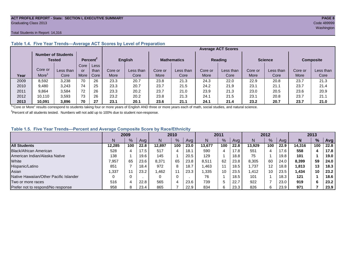#### **ACT PROFILE REPORT - State: SECTION I, EXECUTIVE SUMMARY PAGE 8** Graduating Class 2013 Code 489999

#### Total Students in Report: 14,316

|      |         | <b>Number of Students</b><br>Tested |      | Percent <sup>2</sup> |         | <b>English</b> |         | <b>Mathematics</b> |         | <b>Reading</b> |         | <b>Science</b> | <b>Composite</b> |           |
|------|---------|-------------------------------------|------|----------------------|---------|----------------|---------|--------------------|---------|----------------|---------|----------------|------------------|-----------|
|      |         |                                     | Core | Less                 |         |                |         |                    |         |                |         |                |                  |           |
|      | Core or | Less than                           | or   | than                 | Core or | Less than      | Core or | Less than          | Core or | Less than      | Core or | Less than      | Core or          | Less than |
| Year | More    | Core                                | More | Core                 | More    | Core           | More    | Core               | More    | Core           | More    | Core           | More             | Core      |
| 2009 | 8,592   | 3,238                               | 70   | 26                   | 23.3    | 20.7           | 23.8    | 21.3               | 24.3    | 22.0           | 22.9    | 20.8           | 23.7             | 21.3      |
| 2010 | 9,480   | 3,243                               | 74   | 25                   | 23.3    | 20.7           | 23.7    | 21.5               | 24.2    | 21.9           | 23.1    | 21.1           | 23.7             | 21.4      |
| 2011 | 9,864   | 3,584                               | 72   | 26                   | 23.3    | 20.2           | 23.7    | 21.0               | 23.9    | 21.3           | 23.0    | 20.5           | 23.6             | 20.9      |
| 2012 | 10.110  | 3,593                               | 73   | 26                   | 23.2    | 20.2           | 23.8    | 21.3               | 24.1    | 21.5           | 23.1    | 20.8           | 23.7             | 21.7      |
| 2013 | 10.091  | 3,896                               | 70   | 27                   | 23.1    | 20.1           | 23.6    | 21.1               | 24.1    | 21.4           | 23.2    | 20.7           | 23.7             | 21.0      |

#### **Table 1.4. Five Year Trends—Average ACT Scores by Level of Preparation**

<sup>1</sup>"Core or More" results correspond to students taking four or more years of English AND three or more years each of math, social studies, and natural science.

 $2$ Percent of all students tested. Numbers will not add up to 100% due to student non-response.

#### **Table 1.5. Five Year Trends—Percent and Average Composite Score by Race/Ethnicity**

|                                        | 2009   |     |      | 2010   |               |      | 2011   |     |      | 2012   |     |      | 2013   |     |      |
|----------------------------------------|--------|-----|------|--------|---------------|------|--------|-----|------|--------|-----|------|--------|-----|------|
|                                        | N      | %   | Avg  | N      | $\frac{9}{6}$ | Avg  | N      | %   | Avg  | N      | %   | Ava  | N      | %   | Avg  |
| <b>All Students</b>                    | 12.285 | 100 | 22.8 | 12.897 | 100           | 23.0 | 13.677 | 100 | 22.8 | 13.929 | 100 | 22.9 | 14.316 | 100 | 22.8 |
| <b>Black/African American</b>          | 528    |     | 17.5 | 517    |               | 18.1 | 590    |     | 17.8 | 551    | 4   | 17.6 | 558    |     | 17.8 |
| American Indian/Alaska Native          | 138    |     | 19.6 | 145    |               | 20.5 | 129    |     | 18.8 | 75     |     | 19.8 | 101    |     | 19.0 |
| White                                  | 7.957  | 65  | 23.6 | 8,371  | 65            | 23.8 | 8,511  | 62  | 23.8 | 8.305  | 60  | 24.0 | 8,399  | 59  | 24.0 |
| Hispanic/Latino                        | 851    |     | 18.4 | 972    | 8             | 18.7 | .463   |     | 18.5 | .737   | 12  | 18.8 | 1,813  | 13  | 18.3 |
| Asian                                  | ,337   |     | 23.2 | 1,462  | 11            | 23.3 | .335   | 10  | 23.5 | 1.412  | 10  | 23.5 | 1,434  | 10  | 23.2 |
| Native Hawaiian/Other Pacific Islander |        |     |      |        | 0             |      | 76     |     | 18.5 | 101    |     | 18.3 | 121    |     | 18.6 |
| Two or more races                      | 516    |     | 22.8 | 565    | 4             | 23.6 | 739    | 5   | 22.7 | 922    |     | 23.0 | 919    | 6   | 23.2 |
| Prefer not to respond/No response      | 958    |     | 23.4 | 865    |               | 22.9 | 834    | 6   | 23.3 | 826    | 6   | 23.9 | 971    |     | 23.9 |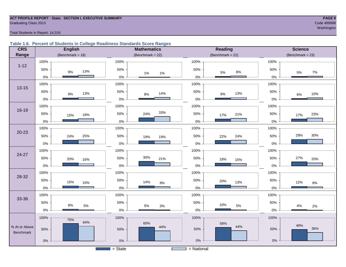# **ACT PROFILE REPORT - State: SECTION I, EXECUTIVE SUMMARY PAGE 9** Graduating Class 2013 Code 489999

#### Total Students in Report: 14,316

#### **Table 1.6. Percent of Students in College Readiness Standards Score Ranges**

| <b>CRS</b>    | <b>English</b>      | <b>Mathematics</b>     | <b>Reading</b>      | <b>Science</b>       |
|---------------|---------------------|------------------------|---------------------|----------------------|
| Range         | (Benchmark = $18$ ) | (Benchmark = $22$ )    | (Benchmark = $22$ ) | $(Benchmark = 23)$   |
|               | 100%                | 100%                   | 100%                | 100%                 |
| $1 - 12$      | 50%<br>13%<br>$9\%$ | 50%<br>$1\%$<br>$1\%$  | 50%<br>$8\%$<br>5%  | 50%<br>7%<br>$5\%$   |
|               | $0\%$               | $0\%$                  | $0\%$               | 0%                   |
| $13 - 15$     | 100%                | 100%                   | 100%                | 100%                 |
|               | 50%<br>13%<br>$9\%$ | 50%<br>14%<br>$8%$     | 50%<br>13%<br>9%    | 50%<br>10%<br>$6\%$  |
|               | $0\%$               | $0\%$                  | $0\%$               | $0\%$                |
|               | 100%                | 100%                   | 100%                | 100%                 |
| 16-19         | 50%<br>18%<br>15%   | 33%<br>50%<br>24%      | 50%<br>21%<br>17%   | 50%<br>23%<br>17%    |
|               | $0\%$               | $0\%$                  | $0\%$               | 0%                   |
|               | 100%                | 100%                   | 100%                | 100%                 |
| $20 - 23$     | 50%<br>24%<br>25%   | 50%<br>19%<br>19%      | 50%<br>24%<br>22%   | 30%<br>29%<br>50%    |
|               | $0\%$               | $0\%$                  | $0\%$               | 0%                   |
|               | 100%                | 100%                   | 100%                | 100%                 |
| 24-27         | 50%<br>20%<br>16%   | 30%<br>50%<br>21%      | 50%<br>18%<br>15%   | 27%<br>50%<br>20%    |
|               | $0\%$               | $0\%$                  | 0%                  | 0%                   |
|               | 100%                | 100%                   | 100%                | 100%                 |
| 28-32         | 50%<br>15%<br>10%   | 50%<br>14%<br>$9\%$    | 50%<br>20%<br>13%   | 50%<br>12%<br>$8\%$  |
|               | $0\%$               | $0\%$                  | 0%                  | 0%                   |
|               | 100%                | 100%                   | 100%                | 100%                 |
| 33-36         | 50%<br>8%           | 50%                    | 50%<br>10%          | 50%                  |
|               | $5\%$<br>$0\%$      | $5\%$<br>$3%$<br>$0\%$ | 5%<br>$0\%$         | $4\%$<br>2%<br>$0\%$ |
|               | 100%<br>75%         | 100%                   | 100%                | 100%                 |
| % At or Above | 64%                 | 60%<br>44%             | 58%<br>44%          | 49%                  |
| Benchmark     | 50%                 | 50%                    | 50%                 | 36%<br>50%           |
|               | $0\%$               | $0\%$                  | $0\%$               | $0\%$                |
|               |                     | $=$ State              | $=$ National        |                      |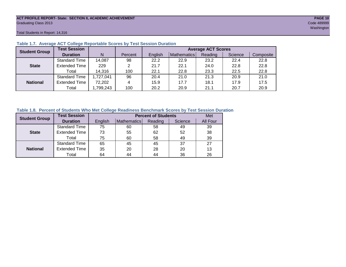# **ACT PROFILE REPORT- State: SECTION II, ACADEMIC ACHIEVEMENT PAGE 10** Graduating Class 2013 Code 489999

Total Students in Report: 14,316

| <b>Student Group</b> | <b>Test Session</b>  |          |         | <b>Average ACT Scores</b> |             |         |         |           |  |  |  |  |
|----------------------|----------------------|----------|---------|---------------------------|-------------|---------|---------|-----------|--|--|--|--|
|                      | <b>Duration</b>      | N        | Percent | English                   | Mathematics | Reading | Science | Composite |  |  |  |  |
|                      | <b>Standard Time</b> | 14,087   | 98      | 22.2                      | 22.9        | 23.2    | 22.4    | 22.8      |  |  |  |  |
| <b>State</b>         | <b>Extended Time</b> | 229      |         | 21.7                      | 22.1        | 24.0    | 22.8    | 22.8      |  |  |  |  |
|                      | Total                | 14,316   | 100     | 22.1                      | 22.8        | 23.3    | 22.5    | 22.8      |  |  |  |  |
|                      | <b>Standard Time</b> | ,727,041 | 96      | 20.4                      | 21.0        | 21.3    | 20.9    | 21.0      |  |  |  |  |
| <b>National</b>      | <b>Extended Time</b> | 72,202   | 4       | 15.9                      | 17.7        | 18.1    | 17.9    | 17.5      |  |  |  |  |
|                      | Total                | ,799,243 | 100     | 20.2                      | 20.9        | 21.1    | 20.7    | 20.9      |  |  |  |  |

#### **Table 1.7. Average ACT College Reportable Scores by Test Session Duration**

#### **Table 1.8. Percent of Students Who Met College Readiness Benchmark Scores by Test Session Duration**

| <b>Student Group</b> | <b>Test Session</b>  |         | <b>Percent of Students</b> |         | Met     |          |
|----------------------|----------------------|---------|----------------------------|---------|---------|----------|
|                      | <b>Duration</b>      | English | Mathematics                | Reading | Science | All Four |
|                      | Standard Time        | 75      | 60                         | 58      | 49      | 39       |
| <b>State</b>         | <b>Extended Time</b> | 73      | 55                         | 62      | 52      | 38       |
|                      | Total                | 75      | 60                         | 58      | 49      | 39       |
|                      | <b>Standard Time</b> | 65      | 45                         | 45      | 37      | 27       |
| <b>National</b>      | <b>Extended Time</b> | 35      | 20                         | 28      | 20      | 13       |
|                      | Total                | 64      | 44                         | 44      | 36      | 26       |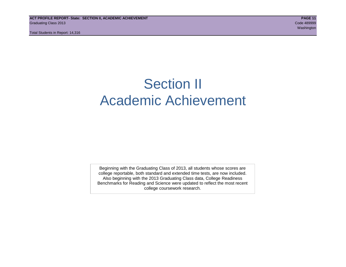# Section II Academic Achievement

Beginning with the Graduating Class of 2013, all students whose scores are college reportable, both standard and extended time tests, are now included. Also beginning with the 2013 Graduating Class data, College Readiness Benchmarks for Reading and Science were updated to reflect the most recent college coursework research.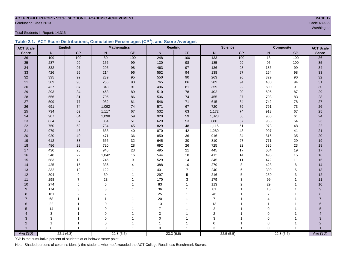# **ACT PROFILE REPORT- State: SECTION II, ACADEMIC ACHIEVEMENT PAGE 12** Code 489999<br>Code 489999<br>Washington

Total Students in Report: 14,316

|  | Table 2.1. ACT Score Distributions, Cumulative Percentages (CP <sup>1</sup> ), and Score Averages |  |  |  |
|--|---------------------------------------------------------------------------------------------------|--|--|--|
|  |                                                                                                   |  |  |  |

| <b>ACT Scale</b> |          | <b>English</b> |                | <b>Mathematics</b> |                | Reading        |                | <b>Science</b> |                 | <b>Composite</b><br><b>ACT Scale</b> |                  |
|------------------|----------|----------------|----------------|--------------------|----------------|----------------|----------------|----------------|-----------------|--------------------------------------|------------------|
| <b>Score</b>     | N        | <b>CP</b>      | N              | CP                 | N              | CP             | $\mathsf{N}$   | CP             | N.              | CP                                   | <b>Score</b>     |
| 36               | 109      | 100            | 80             | 100                | 248            | 100            | 133            | 100            | $\overline{18}$ | 100                                  | $\overline{36}$  |
| 35               | 287      | 99             | 156            | 99                 | 130            | 98             | 185            | 99             | 95              | 100                                  | 35               |
| 34               | 332      | 97             | 295            | 98                 | 463            | 97             | 136            | 98             | 186             | 99                                   | 34               |
| 33               | 426      | 95             | 214            | 96                 | 552            | 94             | 138            | 97             | 264             | 98                                   | 33               |
| 32               | 335      | 92             | 239            | 95                 | 550            | 90             | 263            | 96             | 329             | 96                                   | 32               |
| 31               | 389      | 90             | 235            | 93                 | 765            | 86             | 289            | 94             | 430             | 94                                   | 31               |
| 30               | 427      | 87             | 343            | 91                 | 496            | 81             | 359            | 92             | 500             | 91                                   | 30               |
| 29               | 393      | 84             | 468            | 89                 | 510            | 78             | 402            | $90\,$         | 595             | 87                                   | 29               |
| 28               | 556      | 81             | 705            | 86                 | 506            | 74             | 455            | 87             | 708             | 83                                   | 28               |
| 27               | 509      | 77             | 932            | 81                 | 546            | 71             | 615            | 84             | 742             | 78                                   | 27               |
| 26               | 691      | 74             | 1,092          | 74                 | 571            | 67             | 720            | 79             | 791             | 73                                   | 26               |
| 25               | 734      | 69             | 1,117          | 67                 | 532            | 63             | 1,172          | 74             | 913             | 67                                   | 25               |
| 24               | 907      | 64             | 1,098          | 59                 | 920            | 59             | 1,328          | 66             | 960             | 61                                   | 24               |
| 23               | 834      | 57             | 854            | 51                 | 629            | 53             | 888            | 57             | 963             | 54                                   | 23               |
| 22               | 750      | 52             | 734            | 45                 | 829            | 48             | 1,116          | 51             | 973             | 48                                   | 22               |
| 21               | 979      | 46             | 633            | 40                 | 870            | 42             | 1,280          | 43             | 907             | 41                                   | 21               |
| 20               | 920      | 40             | 471            | 36                 | 850            | 36             | 916            | 34             | 816             | 35                                   | 20               |
| 19               | 612      | 33             | 666            | 32                 | 645            | $30\,$         | 810            | $27\,$         | 771             | 29                                   | 19               |
| 18               | 486      | 29             | 720            | 28                 | 692            | 26             | 725            | 22             | 636             | 23                                   | 18               |
| 17               | 430      | 25             | 945            | 23                 | 495            | 21             | 445            | 17             | 604             | 19                                   | $17$             |
| 16               | 548      | 22             | 1,042          | 16                 | 544            | 18             | 412            | 14             | 498             | 15                                   | 16               |
| 15               | 583      | 19             | 746            | $\boldsymbol{9}$   | 529            | 14             | 345            | 11             | 472             | 11                                   | 15               |
| 14               | 425      | 15             | 336            | $\overline{4}$     | 388            | 10             | 279            | 8              | 428             | $\bf 8$                              | 14               |
| 13               | 332      | 12             | 122            | $\overline{1}$     | 401            | $\overline{7}$ | 240            | 6              | 309             | $\mathbf 5$                          | 13               |
| 12               | 304      | 9              | 39             | $\mathbf 1$        | 297            | 5              | 216            | 5              | 250             | 3                                    | 12               |
| 11               | 298      | $\overline{7}$ | 23             | 1                  | 170            | 3              | 179            | 3              | 99              | $\mathbf{1}$                         | 11               |
| 10               | 274      | 5              | 5              |                    | 83             |                | 113            | $\overline{2}$ | 29              |                                      | $10$             |
| 9                | 174      | 3              | 3              |                    | 36             |                | 81             |                | 18              |                                      | $\boldsymbol{9}$ |
| 8                | 161      | $\overline{2}$ | $\overline{2}$ |                    | 25             |                | 46             |                | $\overline{7}$  |                                      | 8                |
| $\overline{7}$   | 68       |                | 1              |                    | 20             |                | $\overline{7}$ |                | $\overline{4}$  |                                      | $\overline{7}$   |
| 6                | 22       |                | $\mathbf 0$    |                    | 13             |                | 13             |                | 1               |                                      | 6                |
| 5                | 14       |                | $\Omega$       |                    | $\overline{7}$ |                | $\overline{2}$ |                | $\Omega$        |                                      | 5                |
| 4                | 3        |                | $\mathbf 0$    |                    | $\mathsf 3$    |                | $\mathbf 2$    |                | 0               |                                      | 4                |
| 3                | 3        |                | $\mathbf 0$    | 1                  | $\mathbf 0$    |                | $\mathbf{3}$   |                | $\mathbf 0$     |                                      | 3                |
| $\overline{2}$   |          |                | 0              |                    |                |                | $\mathbf 0$    | 1              | $\Omega$        |                                      | $\overline{2}$   |
|                  | $\Omega$ | $\overline{1}$ | $\Omega$       | $\overline{1}$     | $\Omega$       |                | 3              | $\overline{1}$ | $\Omega$        |                                      | Avg (SD)         |
| Avg (SD)         |          | 22.1(6.8)      |                | 22.8(5.5)          |                | 23.3(6.6)      |                | 22.5(5.5)      |                 | 22.8(5.6)                            |                  |

<sup>1</sup>CP is the cumulative percent of students at or below a score point.

Note: Shaded portions of columns identify the students who met/exceeded the ACT College Readiness Benchmark Scores.

washington and the control of the control of the control of the control of the control of the control of the control of the control of the control of the control of the control of the control of the control of the control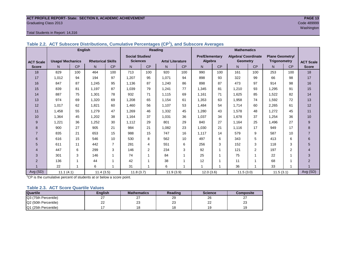#### **ACT PROFILE REPORT- State: SECTION II, ACADEMIC ACHIEVEMENT PAGE 13** Graduating Class 2013 Code 489999

#### Total Students in Report: 14,316

|                  |                         | <b>English</b> |                          |                |                        |                | <b>Reading</b>         |           | <b>Mathematics</b>    |           |                            |                         |                        |           |                  |
|------------------|-------------------------|----------------|--------------------------|----------------|------------------------|----------------|------------------------|-----------|-----------------------|-----------|----------------------------|-------------------------|------------------------|-----------|------------------|
|                  |                         |                |                          |                | <b>Social Studies/</b> |                |                        |           | <b>Pre/Elementary</b> |           | <b>Algebra/ Coordinate</b> |                         | <b>Plane Geometry/</b> |           |                  |
| <b>ACT Scale</b> | <b>Usage/ Mechanics</b> |                | <b>Rhetorical Skills</b> |                | <b>Sciences</b>        |                | <b>Arts/Literature</b> |           |                       | Algebra   |                            | Geometry                | <b>Trigonometry</b>    |           | <b>ACT Scale</b> |
| <b>Score</b>     | N.                      | <b>CP</b>      | N                        | CP             | N                      | <b>CP</b>      | N                      | <b>CP</b> | N.                    | <b>CP</b> | N.                         | <b>CP</b>               | N                      | <b>CP</b> | <b>Score</b>     |
| 18               | 829                     | 100            | 464                      | 100            | 713                    | 100            | 920                    | 100       | 990                   | 100       | 161                        | 100                     | 253                    | 100       | 18               |
| 17               | 1,012                   | 94             | 194                      | 97             | 1,207                  | 95             | 1,071                  | 94        | 898                   | 93        | 322                        | 99                      | 66                     | 98        | 17               |
| 16               | 847                     | 87             | 1.245                    | 95             | 1.136                  | 87             | 1.240                  | 86        | 898                   | 87        | 473                        | 97                      | 914                    | 98        | 16               |
| 15               | 839                     | 81             | 1.197                    | 87             | 1,039                  | 79             | 1.241                  | 77        | 1.345                 | 81        | 1.210                      | 93                      | 1.295                  | 91        | 15               |
| 14               | 887                     | 75             | 1,301                    | 78             | 932                    | 71             | 1.115                  | 69        | 1,161                 | 71        | 1,625                      | 85                      | 1,522                  | 82        | 14               |
| 13               | 974                     | 69             | 1,320                    | 69             | 1,208                  | 65             | 1.154                  | 61        | 1,353                 | 63        | 1,958                      | 74                      | 1,592                  | 72        | 13               |
| 12               | 1,017                   | 62             | 1.821                    | 60             | 1,460                  | 56             | 1.107                  | 53        | 1,484                 | 54        | 1.714                      | 60                      | 2,265                  | 61        | 12               |
| 11               | 1,458                   | 55             | 1,279                    | 47             | 1,269                  | 46             | 1,332                  | 45        | 1,280                 | 43        | 1,578                      | 48                      | 1,272                  | 45        | 11               |
| 10               | 1,364                   | 45             | 1,202                    | 38             | 1,164                  | 37             | 1,031                  | 36        | 1,037                 | 34        | 1,678                      | 37                      | 1,254                  | 36        | 10               |
| 9                | 1,221                   | 36             | 1,252                    | 30             | 1,112                  | 29             | 801                    | 29        | 840                   | 27        | 1.164                      | 25                      | 1,496                  | 27        | 9                |
| 8                | 900                     | 27             | 905                      | 21             | 984                    | 21             | 1.082                  | 23        | 1.030                 | 21        | 1.116                      | 17                      | 949                    | 17        | 8                |
| $\overline{7}$   | 835                     | 21             | 653                      | 15             | 988                    | 15             | 747                    | 16        | 1,117                 | 14        | 579                        | 9                       | 587                    | 10        | $\overline{7}$   |
| 6                | 616                     | 15             | 546                      | 10             | 530                    | 8              | 562                    | 10        | 497                   | 6         | 343                        | 5                       | 413                    | 6         | 6                |
| 5                | 611                     | 11             | 442                      | $\overline{7}$ | 281                    | 4              | 551                    | 6         | 256                   | 3         | 152                        | 3                       | 118                    | 3         | 5                |
| 4                | 447                     | 6              | 299                      | 3              | 146                    | $\overline{2}$ | 234                    | 3         | 92                    | 1         | 121                        | $\overline{2}$          | 197                    | 2         | 4                |
| 3                | 301                     | 3              | 146                      | 1              | 74                     | 1              | 84                     | 1         | 25                    |           | 75                         | $\mathbf{1}$            | 22                     | 1         | 3                |
| $\mathbf{2}$     | 136                     |                | 44                       |                | 42                     |                | 38                     | 1         | 12                    |           | 11                         | 1                       | 68                     |           | $\overline{2}$   |
|                  | 22                      | $\overline{ }$ | 6                        |                | 31                     |                | 6                      | 1         |                       |           | 36                         | $\overline{\mathbf{A}}$ | 33                     |           |                  |
| Avg (SD)         | 11.1(4.1)               |                | 11.4(3.5)                |                | 11.8(3.7)              |                | 11.9(3.9)              |           | 12.0(3.6)             |           | 11.5(3.0)                  |                         | 11.5(3.1)              |           | Avg (SD)         |

**Table 2.2. ACT Subscore Distributions, Cumulative Percentages (CP<sup>1</sup> ), and Subscore Averages**

 $1$ <sup>-1</sup>CP is the cumulative percent of students at or below a score point.

#### **Table 2.3. ACT Score Quartile Values**

| <b>Quartile</b>      | <b>Enalish</b> | <b>Mathematics</b> | Reading  | <b>Science</b> | Composite |
|----------------------|----------------|--------------------|----------|----------------|-----------|
| Q3 (75th Percentile) | <u>_</u>       |                    | 29       | 26             | <u>.</u>  |
| Q2 (50th Percentile) | າາ<br>ے        | ົາ<br>ںے           | nn<br>ںے | nn<br>--       | nn<br>دے  |
| Q1 (25th Percentile) |                | 10                 |          | $\sim$<br>č    |           |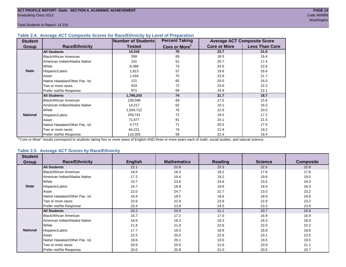Total Students in Report: 14,316

#### **Table 2.4. Average ACT Composite Scores for Race/Ethnicity by Level of Preparation**

| <b>Student</b>  |                                 | Number of Students | <b>Percent Taking</b>     |                     | <b>Average ACT Composite Score</b> |
|-----------------|---------------------------------|--------------------|---------------------------|---------------------|------------------------------------|
| <b>Group</b>    | <b>Race/Ethnicity</b>           | <b>Tested</b>      | Core or More <sup>1</sup> | <b>Core or More</b> | <b>Less Than Core</b>              |
|                 | <b>All Students</b>             | 14,316             | 70                        | 23.7                | 21.0                               |
|                 | Black/African American          | 558                | 69                        | 18.5                | 16.4                               |
|                 | American Indian/Alaska Native   | 101                | 51                        | 20.7                | 17.4                               |
|                 | White                           | 8,399              | 73                        | 24.5                | 22.6                               |
| <b>State</b>    | Hispanic/Latino                 | 1,813              | 57                        | 19.8                | 16.4                               |
|                 | Asian                           | 1,434              | 75                        | 23.9                | 21.7                               |
|                 | Native Hawaiian/Other Pac. Isl. | 121                | 65                        | 20.0                | 16.0                               |
|                 | Two or more races               | 919                | 72                        | 23.6                | 22.2                               |
|                 | Prefer not/No Response          | 971                | 69                        | 24.8                | 22.1                               |
|                 | <b>All Students</b>             | 1,799,243          | 74                        | 21.7                | 18.7                               |
|                 | Black/African American          | 239,598            | 69                        | 17.5                | 15.6                               |
|                 | American Indian/Alaska Native   | 14,217             | 62                        | 19.1                | 16.5                               |
|                 | White                           | 1,034,712          | 76                        | 22.9                | 20.0                               |
| <b>National</b> | Hispanic/Latino                 | 259,741            | 72                        | 19.5                | 17.2                               |
|                 | Asian                           | 71,677             | 81                        | 24.1                | 21.5                               |
|                 | Native Hawaiian/Other Pac. Isl. | 4,772              | 71                        | 20.5                | 17.5                               |
|                 | Two or more races               | 64,221             | 74                        | 21.9                | 19.2                               |
|                 | Prefer not/No Response          | 110,305            | 58                        | 22.4                | 18.4                               |

<sup>1</sup>"Core or More" results correspond to students taking four or more years of English AND three or more years each of math, social studies, and natural science.

#### **Table 2.5. Average ACT Scores by Race/Ethnicity**

| <b>Student</b>  |                                 |                |                    |                |                |                  |
|-----------------|---------------------------------|----------------|--------------------|----------------|----------------|------------------|
| Group           | <b>Race/Ethnicity</b>           | <b>English</b> | <b>Mathematics</b> | <b>Reading</b> | <b>Science</b> | <b>Composite</b> |
|                 | <b>All Students</b>             | 22.1           | 22.8               | 23.3           | 22.5           | 22.8             |
|                 | Black/African American          | 16.6           | 18.3               | 18.2           | 17.6           | 17.8             |
|                 | American Indian/Alaska Native   | 17.2           | 19.4               | 19.2           | 19.6           | 19.0             |
|                 | White                           | 23.7           | 23.6               | 24.6           | 23.5           | 24.0             |
| <b>State</b>    | Hispanic/Latino                 | 16.7           | 18.8               | 18.6           | 18.4           | 18.3             |
|                 | Asian                           | 22.0           | 24.7               | 22.7           | 23.0           | 23.2             |
|                 | Native Hawaiian/Other Pac. Isl. | 16.9           | 19.5               | 18.6           | 18.9           | 18.6             |
|                 | Two or more races               | 22.6           | 22.9               | 23.9           | 22.9           | 23.2             |
|                 | Prefer not/No Response          | 23.4           | 23.8               | 24.5           | 23.3           | 23.9             |
|                 | <b>All Students</b>             | 20.2           | 20.9               | 21.1           | 20.7           | 20.9             |
|                 | <b>Black/African American</b>   | 15.7           | 17.2               | 17.0           | 16.9           | 16.9             |
|                 | American Indian/Alaska Native   | 16.6           | 18.2               | 18.3           | 18.3           | 18.0             |
|                 | White                           | 21.8           | 21.9               | 22.6           | 22.0           | 22.2             |
| <b>National</b> | Hispanic/Latino                 | 17.7           | 19.3               | 18.9           | 18.8           | 18.8             |
|                 | Asian                           | 22.5           | 25.0               | 22.9           | 23.1           | 23.5             |
|                 | Native Hawaiian/Other Pac. Isl. | 18.6           | 20.1               | 19.5           | 19.5           | 19.5             |
|                 | Two or more races               | 20.6           | 20.9               | 21.6           | 20.9           | 21.1             |
|                 | Prefer not/No Response          | 20.0           | 20.8               | 21.0           | 20.5           | 20.7             |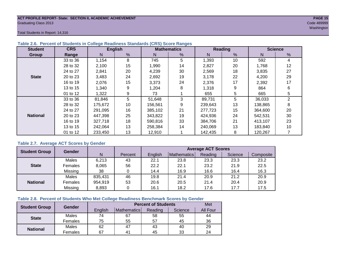#### **ACT PROFILE REPORT- State: SECTION II, ACADEMIC ACHIEVEMENT PAGE 15** Graduating Class 2013 Code 489999

washington and the control of the control of the control of the control of the control of the control of the control of the control of the control of the control of the control of the control of the control of the control

Total Students in Report: 14,316

| <b>Student</b>  | <b>CRS</b> |         | <b>English</b> |         | <b>Mathematics</b> |         | <b>Reading</b> | <b>Science</b> |    |  |
|-----------------|------------|---------|----------------|---------|--------------------|---------|----------------|----------------|----|--|
| Group           | Range      | N       | %              | N       | %                  | N       | $\frac{9}{6}$  | N              | %  |  |
|                 | 33 to 36   | 1,154   | 8              | 745     | 5                  | 1,393   | 10             | 592            | 4  |  |
|                 | 28 to 32   | 2,100   | 15             | 1,990   | 14                 | 2,827   | 20             | 1,768          | 12 |  |
|                 | 24 to 27   | 2,841   | 20             | 4,239   | 30                 | 2,569   | 18             | 3,835          | 27 |  |
| <b>State</b>    | 20 to 23   | 3,483   | 24             | 2,692   | 19                 | 3.178   | 22             | 4,200          | 29 |  |
|                 | 16 to 19   | 2,076   | 15             | 3,373   | 24                 | 2,376   | 17             | 2,392          | 17 |  |
|                 | 13 to 15   | 1,340   | 9              | 1,204   | 8                  | 1,318   | 9              | 864            | 6  |  |
|                 | 01 to 12   | 1,322   | 9              | 73      |                    | 655     | 5              | 665            | 5  |  |
|                 | 33 to 36   | 81,846  | 5              | 51,648  | 3                  | 89,731  | 5              | 36,033         | 2  |  |
|                 | 28 to 32   | 175,672 | 10             | 156,561 | 9                  | 239,643 | 13             | 138,865        | 8  |  |
|                 | 24 to 27   | 291.095 | 16             | 385.102 | 21                 | 277.723 | 15             | 364,600        | 20 |  |
| <b>National</b> | 20 to 23   | 447,398 | 25             | 343.822 | 19                 | 424,936 | 24             | 542,531        | 30 |  |
|                 | 16 to 19   | 327,718 | 18             | 590.816 | 33                 | 384.706 | 21             | 413,107        | 23 |  |
|                 | 13 to 15   | 242,064 | 13             | 258,384 | 14                 | 240,069 | 13             | 183,840        | 10 |  |
|                 | 01 to 12   | 233,450 | 13             | 12,910  |                    | 142,435 | 8              | 120,267        |    |  |

#### **Table 2.6. Percent of Students in College Readiness Standards (CRS) Score Ranges**

#### **Table 2.7. Average ACT Scores by Gender**

| <b>Student Group</b> | <b>Gender</b> |         |         | <b>Average ACT Scores</b> |             |         |         |           |  |  |  |
|----------------------|---------------|---------|---------|---------------------------|-------------|---------|---------|-----------|--|--|--|
|                      |               | N       | Percent | Enalish                   | Mathematics | Reading | Science | Composite |  |  |  |
|                      | Males         | 6,213   | 43      | 22.1                      | 23.8        | 23.3    | 23.3    | 23.2      |  |  |  |
| <b>State</b>         | Females       | 8,065   | 56      | 22.2                      | 22.1        | 23.2    | 21.9    | 22.5      |  |  |  |
|                      | Missing       | 38      |         | 14.4                      | 16.9        | 16.6    | 16.4    | 16.3      |  |  |  |
|                      | Males         | 835,431 | 46      | 19.8                      | 21.4        | 20.9    | 21.2    | 20.9      |  |  |  |
| <b>National</b>      | Females       | 954,919 | 53      | 20.6                      | 20.5        | 21.4    | 20.4    | 20.9      |  |  |  |
|                      | Missing       | 8,893   | 0       | 16.1                      | 18.2        | 17.6    | 17.7    | 17.5      |  |  |  |

#### **Table 2.8. Percent of Students Who Met College Readiness Benchmark Scores by Gender**

| <b>Student Group</b> | Gender  |         | Met            |         |         |                 |
|----------------------|---------|---------|----------------|---------|---------|-----------------|
|                      |         | English | Mathematics    | Reading | Science | <b>All Four</b> |
| <b>State</b>         | Males   | 74      | 67             | 58      | 55      | 44              |
|                      | Females | 75      | 55             | 57      | 45      | 36              |
|                      | Males   | 62      | 47             | 43      | 40      | 29              |
| <b>National</b>      | Females | 67      | 4 <sup>1</sup> | 45      | 33      | 24              |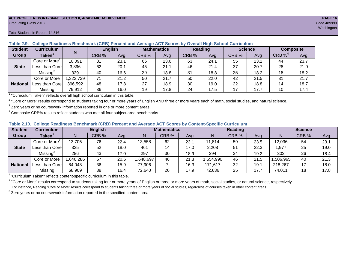#### **ACT PROFILE REPORT- State: SECTION II, ACADEMIC ACHIEVEMENT PAGE 16** Graduating Class 2013 Code 489999

#### Total Students in Report: 14,316

| <b>Student</b>  | <b>Curriculum</b>                                                        | N        | <b>English</b> |      | <b>Mathematics</b> |      | <b>Reading</b> |      | <b>Science</b> |      | <b>Composite</b>      |      |
|-----------------|--------------------------------------------------------------------------|----------|----------------|------|--------------------|------|----------------|------|----------------|------|-----------------------|------|
| Group           | Taken $^{\rm \texttt{1}}$                                                |          | CRB %          | Avg  | CRB %              | Avg  | CRB %          | Avg  | CRB %          | Avg  | $CRB \%$ <sup>4</sup> | Avg  |
|                 | Core or More <sup>2</sup>                                                | 10,091   | 81             | 23.1 | 66                 | 23.6 | 63             | 24.1 | 55             | 23.2 | 44                    | 23.7 |
| <b>State</b>    | Less than Corel                                                          | 3,896    | 62             | 20.1 | 45                 | 21.1 | 46             | 21.4 | 37             | 20.7 | 28                    | 21.0 |
|                 | Missing <sup>3</sup>                                                     | 329      | 40             | 16.6 | 29                 | 18.8 | 31             | 18.8 | 25             | 18.2 | 18                    | 18.2 |
|                 | Core or More                                                             | ,322,739 | 71             | 21.2 | 50                 | 21.7 | 50             | 22.0 | 42             | 21.5 | 31                    | 21.7 |
| <b>National</b> | Less than Core                                                           | 396,592  | 48             | 17.8 | 27                 | 18.9 | 30             | 19.0 | 22             | 18.8 | 14                    | 18.7 |
|                 | Missing                                                                  | 79,912   | 36             | 16.0 | 19                 | 17.8 | 24             | 17.5 | 17             | 17.7 | 10                    | 17.4 |
|                 | "Curriculum Token" reflecte overall bigh school ourriculum in this toble |          |                |      |                    |      |                |      |                |      |                       |      |

**Table 2.9. College Readiness Benchmark (CRB) Percent and Average ACT Scores by Overall High School Curriculum**

"Curriculum Taken" reflects overall high school curriculum in this table.

 $^2$  "Core or More" results correspond to students taking four or more years of English AND three or more years each of math, social studies, and natural science.

 $3$  Zero years or no coursework information reported in one or more content areas.

 $4$  Composite CRB% results reflect students who met all four subject-area benchmarks.

|  |  |  |  |  | Table 2.10. College Readiness Benchmark (CRB) Percent and Average ACT Scores by Content-Specific Curriculum |
|--|--|--|--|--|-------------------------------------------------------------------------------------------------------------|
|--|--|--|--|--|-------------------------------------------------------------------------------------------------------------|

| <b>Student</b>  | Curriculum                |          | <b>English</b> |      | <b>Mathematics</b> |       |      | <b>Reading</b> |       |      | <b>Science</b> |       |      |
|-----------------|---------------------------|----------|----------------|------|--------------------|-------|------|----------------|-------|------|----------------|-------|------|
| Group           | <b>Taken</b>              |          | CRB %          | Avg  | N                  | CRB % | Avg  | N              | CRB % | Avg  | N              | CRB % | Avg  |
|                 | Core or More <sup>2</sup> | 13,705   | 76             | 22.4 | 13,558             | 62    | 23.1 | 11,814         | 59    | 23.5 | 12,036         | 54    | 23.1 |
| <b>State</b>    | Less than Corel           | 325      | 52             | 18.0 | 461                | 14    | 17.0 | 2,208          | 51    | 22.3 | ,977           | 25    | 19.0 |
|                 | Missing®                  | 286      | 43             | 17.0 | 297                | 30    | 18.9 | 294            | 34    | 19.2 | 303            | 26    | 18.4 |
|                 | Core or More              | ,646,286 | 67             | 20.6 | .648,697           | 46    | 21.3 | .554,990       | 46    | 21.5 | ,506,965       | 40    | 21.3 |
| <b>National</b> | Less than Core            | 84,048   | 36             | 15.9 | 77,906             |       | 16.3 | 171,617        | 32    | 19.1 | 218,267        | 17    | 18.0 |
|                 | Missing                   | 68,909   | 38             | 16.4 | 72,640             | 20    | 17.9 | 72,636         | 25    | 17.7 | 74,011         | 18    | 17.8 |

<sup>1</sup>"Curriculum Taken" reflects content-specific curriculum in this table.

<sup>2</sup> "Core or More" results correspond to students taking four or more years of English or three or more years of math, social studies, or natural science, respectively. For instance, Reading "Core or More" results correspond to students taking three or more years of social studies, regardless of courses taken in other content areas.

 $3$  Zero years or no coursework information reported in the specified content area.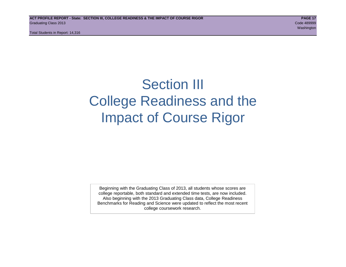Total Students in Report: 14,316

# Section III College Readiness and the Impact of Course Rigor

Beginning with the Graduating Class of 2013, all students whose scores are college reportable, both standard and extended time tests, are now included. Also beginning with the 2013 Graduating Class data, College Readiness Benchmarks for Reading and Science were updated to reflect the most recent college coursework research.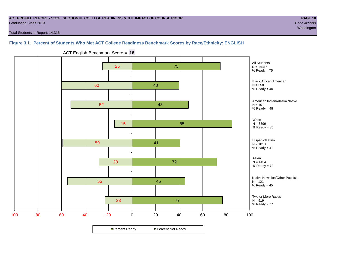#### **ACT PROFILE REPORT - State: SECTION III, COLLEGE READINESS & THE IMPACT OF COURSE RIGOR PAGE 18** Graduating Class 2013 Code 489999

washington and the control of the control of the control of the control of the control of the control of the control of the control of the control of the control of the control of the control of the control of the control

Total Students in Report: 14,316

#### **Figure 3.1. Percent of Students Who Met ACT College Readiness Benchmark Scores by Race/Ethnicity: ENGLISH**



ACT English Benchmark Score = **18**

**□ Percent Ready DPercent Not Ready**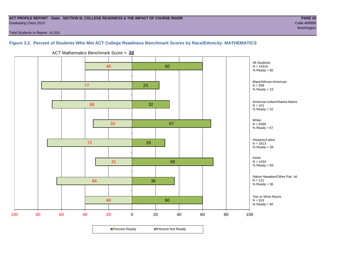#### **ACT PROFILE REPORT - State: SECTION III, COLLEGE READINESS & THE IMPACT OF COURSE RIGOR PAGE 19** Graduating Class 2013 Code 489999

Total Students in Report: 14,316

#### **Figure 3.2. Percent of Students Who Met ACT College Readiness Benchmark Scores by Race/Ethnicity: MATHEMATICS**



ACT Mathematics Benchmark Score = **22**

**□ Percent Ready DPercent Not Ready**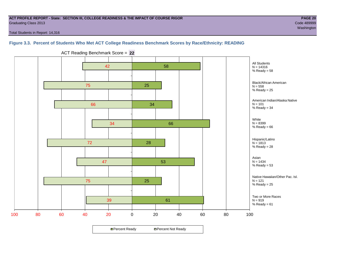#### **ACT PROFILE REPORT - State: SECTION III, COLLEGE READINESS & THE IMPACT OF COURSE RIGOR PAGE 20** Graduating Class 2013 Code 489999

washington and the control of the control of the control of the control of the control of the control of the control of the control of the control of the control of the control of the control of the control of the control

Total Students in Report: 14,316

**Figure 3.3. Percent of Students Who Met ACT College Readiness Benchmark Scores by Race/Ethnicity: READING**



ACT Reading Benchmark Score = **22**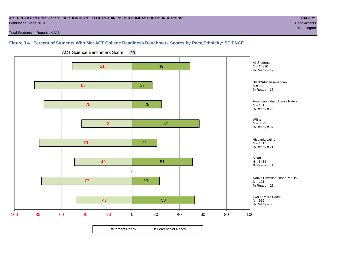#### **ACT PROFILE REPORT - State: SECTION III, COLLEGE READINESS & THE IMPACT OF COURSE RIGOR PAGE 21** Graduating Class 2013 Code 489999

washington and the control of the control of the control of the control of the control of the control of the control of the control of the control of the control of the control of the control of the control of the control

Total Students in Report: 14,316

#### **Figure 3.4. Percent of Students Who Met ACT College Readiness Benchmark Scores by Race/Ethnicity: SCIENCE**



ACT Science Benchmark Score = **23**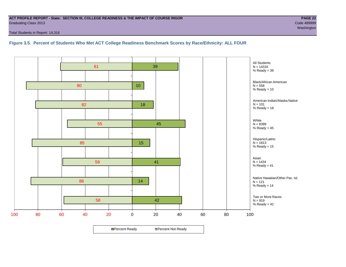#### **ACT PROFILE REPORT - State: SECTION III, COLLEGE READINESS & THE IMPACT OF COURSE RIGOR PAGE 22** Graduating Class 2013 Code 489999

Total Students in Report: 14,316

**Figure 3.5. Percent of Students Who Met ACT College Readiness Benchmark Scores by Race/Ethnicity: ALL FOUR**

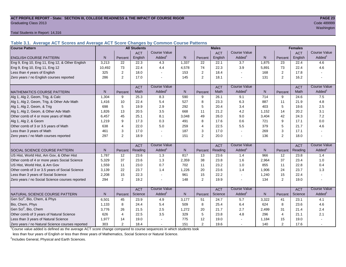# **ACT PROFILE REPORT - State: SECTION III, COLLEGE READINESS & THE IMPACT OF COURSE RIGOR PAGE 23** Graduating Class 2013 Code 489999

Total Students in Report: 14,316

**Table 3.1. Average ACT Scores and Average ACT Score Changes by Common Course Patterns**

| <b>Course Pattern</b>                            |        |                | <b>All Students</b> |                          |              |                | <b>Males</b> |                          |              | <b>Females</b> |            |                        |
|--------------------------------------------------|--------|----------------|---------------------|--------------------------|--------------|----------------|--------------|--------------------------|--------------|----------------|------------|------------------------|
|                                                  |        |                | <b>ACT</b>          | <b>Course Value</b>      |              |                | <b>ACT</b>   | Course Value             |              |                | <b>ACT</b> | <b>Course Value</b>    |
| <b>ENGLISH COURSE PATTERN</b>                    | N.     | Percent        | English             | Added <sup>1</sup>       | N            | Percent        | English      | Added                    | N            | Percent        | English    | A d d e d <sup>1</sup> |
| Eng 9, Eng 10, Eng 11, Eng 12, & Other English   | 3,213  | 22             | 22.3                | 4.3                      | 1,337        | 22             | 22.1         | $\overline{3.7}$         | 1,875        | 23             | 22.4       | 4.6                    |
| Eng 9, Eng 10, Eng 11, Eng 12                    | 10.492 | 73             | 22.4                | 4.4                      | 4,578        | 74             | 22.3         | 3.9                      | 5,891        | 73             | 22.4       | 4.6                    |
| Less than 4 years of English                     | 325    | 2              | 18.0                |                          | 153          | 2              | 18.4         | $\blacksquare$           | 168          | 2              | 17.8       |                        |
| Zero years / no English courses reported         | 286    | 2              | 17.0                |                          | 145          | $\overline{2}$ | 18.1         | $\overline{a}$           | 131          | $\overline{2}$ | 16.2       |                        |
|                                                  |        |                | <b>ACT</b>          | <b>Course Value</b>      |              |                | <b>ACT</b>   | <b>Course Value</b>      |              |                | <b>ACT</b> | <b>Course Value</b>    |
| <b>MATHEMATICS COURSE PATTERN</b>                | N.     | Percent        | Math                | Added <sup>1</sup>       | $\mathsf{N}$ | Percent        | Math         | Added <sup>1</sup>       | N            | Percent        | Math       | A d d e d <sup>1</sup> |
| Alg 1, Alg 2, Geom, Trig, & Calc                 | 1.304  | 9              | 25.3                | 8.3                      | 590          | 9              | 26.1         | 9.1                      | 714          | 9              | 24.6       | 7.5                    |
| Alg 1, Alg 2, Geom, Trig, & Other Adv Math       | 1,416  | 10             | 22.4                | 5.4                      | 527          | 8              | 23.3         | 6.3                      | 887          | 11             | 21.9       | 4.8                    |
| Alg 1, Alg 2, Geom, & Trig                       | 698    | 5              | 19.9                | 2.9                      | 292          | 5              | 20.4         | 3.4                      | 403          | 5              | 19.6       | 2.5                    |
| Alg 1, Alg 2, Geom, & Other Adv Math             | 1.826  | 13             | 20.5                | 3.5                      | 668          | 11             | 21.2         | 4.2                      | 1,152        | 14             | 20.2       | 3.1                    |
| Other comb of 4 or more years of Math            | 6,457  | 45             | 25.1                | 8.1                      | 3,048        | 49             | 26.0         | 9.0                      | 3,404        | 42             | 24.3       | 7.2                    |
| Alg 1, Alg 2, & Geom                             | 1.219  | 9              | 17.3                | 0.3                      | 491          | 8              | 17.6         | 0.6                      | 721          | 9              | 17.1       | 0.0                    |
| Other comb of 3 or 3.5 years of Math             | 638    | 4              | 22.0                | 5.0                      | 259          | $\overline{4}$ | 22.5         | 5.5                      | 379          | 5              | 21.7       | 4.6                    |
| Less than 3 years of Math                        | 461    | 3              | 17.0                |                          | 187          | 3              | 17.0         | $\blacksquare$           | 269          | 3              | 17.1       |                        |
| Zero years / no Math courses reported            | 297    | 2              | 18.9                |                          | 151          | 2              | 20.0         | $\overline{\phantom{a}}$ | 136          | 2              | 18.0       |                        |
|                                                  |        |                | <b>ACT</b>          | <b>Course Value</b>      |              |                | <b>ACT</b>   | <b>Course Value</b>      |              |                | <b>ACT</b> | <b>Course Value</b>    |
| SOCIAL SCIENCE COURSE PATTERN                    | N.     | Percent        | Reading             | $A d d e d$ <sup>1</sup> | $\mathsf{N}$ | Percent        | Reading      | Added                    | N            | Percent        | Reading    | A d d e d <sup>1</sup> |
| US Hist, World Hist, Am Gov, & Other Hist        | 1.787  | 12             | 23.6                | 1.3                      | 817          | 13             | 23.6         | 1.4                      | 966          | 12             | 23.8       | 1.4                    |
| Other comb of 4 or more years Social Science     | 5,329  | 37             | 23.6                | 1.3                      | 2,359        | 38             | 23.8         | 1.6                      | 2,964        | 37             | 23.4       | 1.0                    |
| US Hist, World Hist, & Am Gov                    | 1,559  | 11             | 23.0                | 0.7                      | 702          | 11             | 23.2         | 1.0                      | 855          | 11             | 22.8       | 0.4                    |
| Other comb of 3 or 3.5 years of Social Science   | 3.139  | 22             | 23.7                | 1.4                      | 1,226        | 20             | 23.6         | 1.4                      | 1,906        | 24             | 23.7       | 1.3                    |
| Less than 3 years of Social Science              | 2,208  | 15             | 22.3                |                          | 961          | 15             | 22.2         | $\overline{\phantom{a}}$ | 1,240        | 15             | 22.4       |                        |
| Zero years / no Social Science courses reported  | 294    | $\overline{2}$ | 19.2                |                          | 148          | 2              | 19.9         | $\overline{a}$           | 134          | 2              | 19.0       |                        |
|                                                  |        |                | <b>ACT</b>          | <b>Course Value</b>      |              |                | <b>ACT</b>   | <b>Course Value</b>      |              |                | <b>ACT</b> | <b>Course Value</b>    |
| <b>I</b> NATURAL SCIENCE COURSE PATTERN          | N      | Percent        | Science             | Added <sup>1</sup>       | $\mathsf{N}$ | Percent        | Science      | Added <sup>1</sup>       | $\mathsf{N}$ | Percent        | Science    | A d d e d <sup>1</sup> |
| Gen Sci <sup>2</sup> , Bio, Chem, & Phys         | 6,501  | 45             | 23.9                | 4.9                      | 3,177        | 51             | 24.7         | 5.7                      | 3,322        | 41             | 23.1       | 4.1                    |
| Bio, Chem, Phys                                  | 1.133  | 8              | 24.4                | 5.4                      | 509          | 8              | 25.4         | 6.4                      | 624          | 8              | 23.6       | 4.6                    |
| Gen Sci <sup>2</sup> , Bio, Chem                 | 3,776  | 26             | 21.5                | 2.5                      | 1,272        | 20             | 21.7         | 2.7                      | 2,499        | 31             | 21.4       | 2.4                    |
| Other comb of 3 years of Natural Science         | 626    | $\overline{4}$ | 22.5                | 3.5                      | 329          | $\sqrt{5}$     | 23.8         | 4.8                      | 296          | $\overline{4}$ | 21.1       | 2.1                    |
| Less than 3 years of Natural Science             | 1,977  | 14             | 19.0                |                          | 775          | 12             | 19.0         |                          | 1,184        | 15             | 19.0       |                        |
| Zero years / no Natural Science courses reported | 303    | $\overline{2}$ | 18.4                |                          | 151          | $\overline{2}$ | 19.6         | $\sim$                   | 140          | $\overline{2}$ | 17.6       |                        |

<sup>1</sup>Course value added is defined as the average ACT score change compared to course sequences in which students took

less than four years of English or less than three years of Mathematics, Social Science or Natural Science.

<sup>2</sup>Includes General, Physical and Earth Sciences.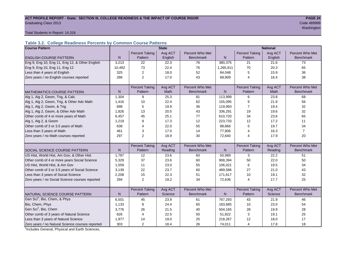# **ACT PROFILE REPORT - State: SECTION III, COLLEGE READINESS & THE IMPACT OF COURSE RIGOR PAGE 24** Code 489999 **PAGE 24** Graduating Class 2013 Code 489999

washington and the control of the control of the control of the control of the control of the control of the control of the control of the control of the control of the control of the control of the control of the control

Total Students in Report: 14,316

#### **Table 3.2. College Readiness Percents by Common Course Patterns**

| <b>Course Pattern</b>                            |              |                       | <b>State</b> |                  |              | <b>National</b>       |         |                  |  |  |
|--------------------------------------------------|--------------|-----------------------|--------------|------------------|--------------|-----------------------|---------|------------------|--|--|
|                                                  |              | <b>Percent Taking</b> | Avg ACT      | Percent Who Met  |              | <b>Percent Taking</b> | Avg ACT | Percent Who Met  |  |  |
| <b>ENGLISH COURSE PATTERN</b>                    | N            | Pattern               | English      | <b>Benchmark</b> | ${\sf N}$    | Pattern               | English | <b>Benchmark</b> |  |  |
| Eng 9, Eng 10, Eng 11, Eng 12, & Other English   | 3,213        | 22                    | 22.3         | 76               | 380,375      | 21                    | 21.6    | 73               |  |  |
| Eng 9, Eng 10, Eng 11, Eng 12                    | 10,492       | 73                    | 22.4         | 76               | 1,265,911    | 70                    | 20.3    | 65               |  |  |
| Less than 4 years of English                     | 325          | $\overline{2}$        | 18.0         | 52               | 84,048       | 5                     | 15.9    | 36               |  |  |
| Zero years / no English courses reported         | 286          | 2                     | 17.0         | 43               | 68,909       | 4                     | 16.4    | 38               |  |  |
|                                                  |              |                       |              |                  |              |                       |         |                  |  |  |
|                                                  |              | <b>Percent Taking</b> | Avg ACT      | Percent Who Met  |              | <b>Percent Taking</b> | Avg ACT | Percent Who Met  |  |  |
| <b>MATHEMATICS COURSE PATTERN</b>                | N            | Pattern               | <b>Math</b>  | <b>Benchmark</b> | N            | Pattern               | Math    | <b>Benchmark</b> |  |  |
| Alg 1, Alg 2, Geom, Trig, & Calc                 | 1,304        | 9                     | 25.3         | 81               | 113,999      | 6                     | 23.8    | 68               |  |  |
| Alg 1, Alg 2, Geom, Trig, & Other Adv Math       | 1,416        | 10                    | 22.4         | 62               | 155,095      | 9                     | 21.9    | 56               |  |  |
| Alg 1, Alg 2, Geom, & Trig                       | 698          | 5                     | 19.9         | 36               | 119,993      | 7                     | 19.4    | 32               |  |  |
| Alg 1, Alg 2, Geom, & Other Adv Math             | 1,826        | 13                    | 20.5         | 43               | 336,291      | 19                    | 19.6    | 32               |  |  |
| Other comb of 4 or more years of Math            | 6,457        | 45                    | 25.1         | 77               | 610,720      | 34                    | 23.6    | 65               |  |  |
| Alg 1, Alg 2, & Geom                             | 1,219        | 9                     | 17.3         | 12               | 223,733      | 12                    | 17.2    | 11               |  |  |
| Other comb of 3 or 3.5 years of Math             | 638          | 4                     | 22.0         | 55               | 88,866       | 5                     | 19.7    | 34               |  |  |
| Less than 3 years of Math                        | 461          | 3                     | 17.0         | 14               | 77,906       | 4                     | 16.3    | $\overline{7}$   |  |  |
| Zero years / no Math courses reported            | 297          | $\overline{2}$        | 18.9         | 30               | 72,640       | 4                     | 17.9    | 20               |  |  |
|                                                  |              |                       |              |                  |              |                       |         |                  |  |  |
|                                                  |              | <b>Percent Taking</b> | Avg ACT      | Percent Who Met  |              | <b>Percent Taking</b> | Avg ACT | Percent Who Met  |  |  |
| SOCIAL SCIENCE COURSE PATTERN                    | $\mathsf{N}$ | Pattern               | Reading      | <b>Benchmark</b> | $\mathsf{N}$ | Pattern               | Reading | <b>Benchmark</b> |  |  |
| US Hist, World Hist, Am Gov, & Other Hist        | 1,787        | 12                    | 23.6         | 60               | 50,989       | 3                     | 22.2    | 51               |  |  |
| Other comb of 4 or more years Social Science     | 5,329        | 37                    | 23.6         | 60               | 908,394      | 50                    | 22.0    | 50               |  |  |
| US Hist, World Hist, & Am Gov                    | 1,559        | 11                    | 23.0         | 55               | 106,021      | 6                     | 19.5    | 34               |  |  |
| Other comb of 3 or 3.5 years of Social Science   | 3,139        | 22                    | 23.7         | 60               | 489,586      | 27                    | 21.0    | 43               |  |  |
| Less than 3 years of Social Science              | 2,208        | 15                    | 22.3         | 51               | 171,617      | 10                    | 19.1    | 32               |  |  |
| Zero years / no Social Science courses reported  | 294          | $\overline{2}$        | 19.2         | 34               | 72,636       | $\overline{4}$        | 17.7    | 25               |  |  |
|                                                  |              |                       |              |                  |              |                       |         |                  |  |  |
|                                                  |              | <b>Percent Taking</b> | Avg ACT      | Percent Who Met  |              | <b>Percent Taking</b> | Avg ACT | Percent Who Met  |  |  |
| NATURAL SCIENCE COURSE PATTERN                   | N            | Pattern               | Science      | <b>Benchmark</b> | N            | Pattern               | Science | <b>Benchmark</b> |  |  |
| Gen Sci <sup>1</sup> , Bio, Chem, & Phys         | 6,501        | 45                    | 23.9         | 61               | 767,293      | 43                    | 21.9    | 46               |  |  |
| Bio, Chem, Phys                                  | 1,133        | 8                     | 24.4         | 65               | 183,685      | 10                    | 23.0    | 54               |  |  |
| Gen Sci <sup>1</sup> , Bio, Chem                 | 3,776        | 26                    | 21.5         | 40               | 504,165      | 28                    | 19.9    | 28               |  |  |
| Other comb of 3 years of Natural Science         | 626          | 4                     | 22.5         | 50               | 51,822       | 3                     | 19.1    | 25               |  |  |
| Less than 3 years of Natural Science             | 1,977        | 14                    | 19.0         | 25               | 218,267      | 12                    | 18.0    | 17               |  |  |
| Zero years / no Natural Science courses reported | 303          | 2                     | 18.4         | 26               | 74,011       | $\overline{4}$        | 17.8    | 18               |  |  |

<sup>1</sup>Includes General, Physical and Earth Sciences.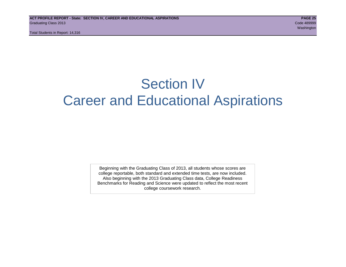Total Students in Report: 14,316

# Section IV Career and Educational Aspirations

Beginning with the Graduating Class of 2013, all students whose scores are college reportable, both standard and extended time tests, are now included. Also beginning with the 2013 Graduating Class data, College Readiness Benchmarks for Reading and Science were updated to reflect the most recent college coursework research.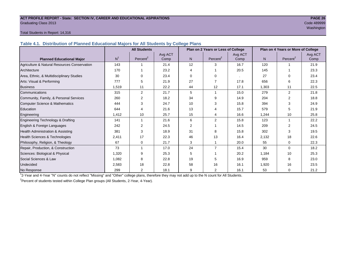# **ACT PROFILE REPORT - State: SECTION IV, CAREER AND EDUCATIONAL ASPIRATIONS PAGE 26** Graduating Class 2013 Code 489999

# washington and the control of the control of the control of the control of the control of the control of the control of the control of the control of the control of the control of the control of the control of the control

#### Total Students in Report: 14,316

**Table 4.1. Distribution of Planned Educational Majors for All Students by College Plans**

|                                              |                | <b>All Students</b><br>Plan on 2 Years or Less of College |         |                |                |         |       | Plan on 4 Years or More of College |         |
|----------------------------------------------|----------------|-----------------------------------------------------------|---------|----------------|----------------|---------|-------|------------------------------------|---------|
|                                              | N <sup>1</sup> | Percent <sup>2</sup>                                      | Avg ACT |                | Percent $2$    | Avg ACT | N     | Percent <sup>2</sup>               | Avg ACT |
| <b>Planned Educational Major</b>             |                |                                                           | Comp    | N              |                | Comp    |       |                                    | Comp    |
| Agriculture & Natural Resources Conservation | 143            |                                                           | 21.4    | 12             | 3              | 16.7    | 120   |                                    | 21.9    |
| Architecture                                 | 170            |                                                           | 23.2    | 4              |                | 20.5    | 145   |                                    | 23.3    |
| Area, Ethnic, & Multidisciplinary Studies    | 30             | $\Omega$                                                  | 23.4    | $\Omega$       | $\Omega$       |         | 27    | $\Omega$                           | 23.4    |
| Arts: Visual & Performing                    | 777            | 5                                                         | 21.9    | 27             |                | 17.8    | 656   | 6                                  | 22.3    |
| <b>Business</b>                              | 1,519          | 11                                                        | 22.2    | 44             | 12             | 17.1    | 1,303 | 11                                 | 22.5    |
| Communications                               | 315            | $\overline{2}$                                            | 21.7    | 5              |                | 15.0    | 279   | 2                                  | 21.8    |
| Community, Family, & Personal Services       | 260            | $\overline{2}$                                            | 18.2    | 34             | 9              | 14.9    | 204   | $\overline{2}$                     | 18.8    |
| <b>Computer Science &amp; Mathematics</b>    | 444            | 3                                                         | 24.7    | 10             | 3              | 15.8    | 394   | 3                                  | 24.9    |
| Education                                    | 644            | 4                                                         | 21.6    | 13             | Δ              | 15.7    | 579   | 5                                  | 21.9    |
| Engineering                                  | 1,412          | 10                                                        | 25.7    | 15             | 4              | 16.6    | 1,244 | 10                                 | 25.8    |
| Engineering Technology & Drafting            | 141            |                                                           | 21.6    | 6              | $\overline{2}$ | 15.8    | 123   |                                    | 22.2    |
| English & Foreign Languages                  | 242            | 2                                                         | 24.5    | $\overline{2}$ |                | 14.5    | 209   | 2                                  | 24.5    |
| Health Administration & Assisting            | 381            | 3                                                         | 18.9    | 31             | 8              | 15.8    | 302   | 3                                  | 19.5    |
| Health Sciences & Technologies               | 2,411          | 17                                                        | 22.3    | 46             | 13             | 16.4    | 2,132 | 18                                 | 22.6    |
| Philosophy, Religion, & Theology             | 67             | 0                                                         | 21.7    | 3              |                | 20.0    | 55    | $\Omega$                           | 22.3    |
| Repair, Production, & Construction           | 73             |                                                           | 17.0    | 24             | $\overline{7}$ | 15.4    | 30    | $\Omega$                           | 18.2    |
| Sciences: Biological & Physical              | 1,320          | 9                                                         | 25.3    | 5              |                | 20.2    | 1,184 | 10                                 | 25.3    |
| Social Sciences & Law                        | 1,082          | 8                                                         | 22.8    | 19             | 5              | 16.9    | 959   | 8                                  | 23.0    |
| Undecided                                    | 2,583          | 18                                                        | 22.8    | 58             | 16             | 16.1    | 1,920 | 16                                 | 23.5    |
| No Response                                  | 299            | $\overline{2}$                                            | 18.1    | 9              | 2              | 16.1    | 53    | $\mathbf 0$                        | 21.2    |

1 2-Year and 4-Year "N" counts do not reflect "Missing" and "Other" college plans, therefore they may not add up to the N count for All Students.

<sup>2</sup> Percent of students tested within College Plan groups (All Students, 2-Year, 4-Year).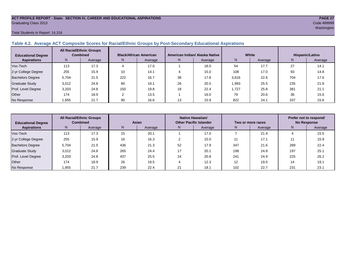# **ACT PROFILE REPORT - State: SECTION IV, CAREER AND EDUCATIONAL ASPIRATIONS PAGE 27** Graduating Class 2013 Code 489999

#### Total Students in Report: 14,316

#### **Table 4.2. Average ACT Composite Scores for Racial/Ethnic Groups by Post-Secondary Educational Aspirations**

| <b>Educational Degree</b> | <b>All Racial/Ethnic Groups</b><br><b>Combined</b> |         | <b>Black/African American</b> |         |    | American Indian/ Alaska Native |       | White   | Hispanic/Latino |         |  |
|---------------------------|----------------------------------------------------|---------|-------------------------------|---------|----|--------------------------------|-------|---------|-----------------|---------|--|
| <b>Aspirations</b>        | N.                                                 | Average | N                             | Average | N  | Average                        | Ν     | Average | N               | Average |  |
| Voc-Tech                  | 113                                                | 17.3    |                               | 17.0    |    | 18.0                           | 54    | 17.7    | 27              | 14.1    |  |
| 2-yr College Degree       | 255                                                | 15.9    | 10                            | 14.1    |    | 15.0                           | 108   | 17.0    | 93              | 14.8    |  |
| <b>Bachelors Degree</b>   | 5.704                                              | 21.5    | 222                           | 16.7    | 38 | 17.8                           | 3,616 | 22.6    | 704             | 17.6    |  |
| <b>Graduate Study</b>     | 3,012                                              | 24.8    | 80                            | 19.1    | 26 | 20.5                           | 1,993 | 25.5    | 235             | 21.9    |  |
| Prof. Level Degree        | 3.203                                              | 24.8    | 150                           | 19.8    | 18 | 22.4                           | 1.727 | 25.8    | 381             | 21.1    |  |
| Other                     | 174                                                | 18.9    | C                             | 13.5    |    | 16.0                           | 79    | 20.6    | 36              | 15.6    |  |
| No Response               | 1,855                                              | 21.7    | 90                            | 16.6    | 13 | 15.9                           | 822   | 24.1    | 337             | 15.6    |  |

| <b>Educational Degree</b> | <b>All Racial/Ethnic Groups</b><br><b>Combined</b> |         | Asian |         |               | Native Hawaiian/<br><b>Other Pacific Islander</b> |     | Two or more races | Prefer not to respond/<br><b>No Response</b> |         |  |
|---------------------------|----------------------------------------------------|---------|-------|---------|---------------|---------------------------------------------------|-----|-------------------|----------------------------------------------|---------|--|
| <b>Aspirations</b>        | N                                                  | Average | N     | Average | Average<br>N. |                                                   | N   | Average           | N                                            | Average |  |
| Voc-Tech                  | 113                                                | 17.3    | 15    | 20.1    |               | 17.0                                              |     | 21.9              |                                              | 15.5    |  |
| 2-yr College Degree       | 255                                                | 15.9    | 16    | 16.3    |               | 15.0                                              | 11  | 17.1              |                                              | 15.9    |  |
| <b>Bachelors Degree</b>   | 5.704                                              | 21.5    | 436   | 21.3    | 52            | 17.9                                              | 347 | 21.6              | 289                                          | 22.4    |  |
| Graduate Study            | 3,012                                              | 24.8    | 265   | 24.4    |               | 20.1                                              | 199 | 24.8              | 197                                          | 25.1    |  |
| Prof. Level Degree        | 3.203                                              | 24.8    | 437   | 25.5    | 24            | 20.8                                              | 241 | 24.9              | 225                                          | 26.2    |  |
| Other                     | 174                                                | 18.9    | 26    | 19.5    |               | 12.3                                              | 12  | 19.0              | 14                                           | 19.1    |  |
| No Response               | .855                                               | 21.7    | 239   | 22.4    | 21            | 18.1                                              | 102 | 22.7              | 231                                          | 23.1    |  |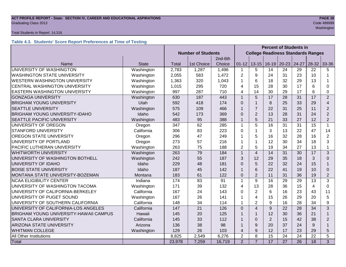# **ACT PROFILE REPORT - State: SECTION IV, CAREER AND EDUCATIONAL ASPIRATIONS** *PAGE 28***<br>Graduating Class 2013 <b>Code 489999** Graduating Class 2013 Code 489999

#### Total Students in Report: 14,316

#### **Table 4.3. Students' Score Report Preferences at Time of Testing**

|                                               |              |                           |                 |         |                | <b>Percent of Students in</b>             |                |                 |                 |                 |                         |
|-----------------------------------------------|--------------|---------------------------|-----------------|---------|----------------|-------------------------------------------|----------------|-----------------|-----------------|-----------------|-------------------------|
|                                               |              | <b>Number of Students</b> |                 |         |                | <b>College Readiness Standards Ranges</b> |                |                 |                 |                 |                         |
|                                               |              |                           |                 | 2nd-6th |                |                                           |                |                 |                 |                 |                         |
| Name                                          | <b>State</b> | <b>Total</b>              | 1st Choice      | Choice  | $01 - 12$      | $13 - 15$                                 | $16 - 19$      | $20 - 23$       | 24-27           | $28 - 32$       | 33-36                   |
| UNIVERSITY OF WASHINGTON                      | Washington   | 2,783                     | 1,287           | 1,496   | $\mathbf{1}$   | 5                                         | 14             | 24              | 29              | 22              | 5                       |
| <b>WASHINGTON STATE UNIVERSITY</b>            | Washington   | 2,055                     | 583             | 1,472   | $\overline{2}$ | 9                                         | 24             | 31              | 23              | 10              | 1                       |
| <b>WESTERN WASHINGTON UNIVERSITY</b>          | Washington   | 1,363                     | 320             | 1,043   | 1              | 6                                         | 18             | 32              | 29              | 13              |                         |
| CENTRAL WASHINGTON UNIVERSITY                 | Washington   | 1,015                     | 295             | 720     | 4              | 15                                        | 28             | 30              | 17              | 6               | 0                       |
| <b>EASTERN WASHINGTON UNIVERSITY</b>          | Washington   | 997                       | 287             | 710     | 4              | 14                                        | 30             | 29              | 17              | 6               | $\Omega$                |
| <b>GONZAGA UNIVERSITY</b>                     | Washington   | 630                       | 187             | 443     | $\mathbf{1}$   | 5                                         | 17             | 28              | 31              | 17              | $\overline{2}$          |
| <b>BRIGHAM YOUNG UNIVERSITY</b>               | Utah         | 592                       | 418             | 174     | $\Omega$       | $\mathbf{1}$                              | 8              | 25              | 33              | 29              | $\overline{\mathbf{4}}$ |
| <b>SEATTLE UNIVERSITY</b>                     | Washington   | 575                       | 109             | 466     | $\mathbf{1}$   | $\overline{7}$                            | 22             | 31              | 25              | 11              | $\overline{2}$          |
| <b>BRIGHAM YOUNG UNIVERSITY-IDAHO</b>         | Idaho        | 542                       | 173             | 369     | $\Omega$       | $\overline{2}$                            | 13             | 28              | 31              | 24              | $\overline{2}$          |
| SEATTLE PACIFIC UNIVERSITY                    | Washington   | 483                       | 95              | 388     | $\overline{1}$ | 5                                         | 21             | 33              | 27              | 12              | $\overline{2}$          |
| UNIVERSITY OF OREGON                          | Oregon       | 347                       | 62              | 285     | $\mathbf{1}$   | 5                                         | 16             | 31              | 31              | 15              | $\mathbf{1}$            |
| <b>STANFORD UNIVERSITY</b>                    | California   | 306                       | 83              | 223     | $\Omega$       | $\mathbf 1$                               | 3              | 13              | 22              | 47              | 14                      |
| <b>OREGON STATE UNIVERSITY</b>                | Oregon       | 296                       | 47              | 249     | 1              | 5                                         | 16             | 32              | 28              | 16              | $\overline{2}$          |
| UNIVERSITY OF PORTLAND                        | Oregon       | 273                       | 57              | 216     | 1              | $\mathbf 1$                               | 12             | 30              | 34              | 18              | 3                       |
| PACIFIC LUTHERAN UNIVERSITY                   | Washington   | 263                       | 75              | 188     | $\overline{2}$ | 5                                         | 19             | 34              | 27              | 13              | $\mathbf{1}$            |
| <b>WHITWORTH UNIVERSITY</b>                   | Washington   | 263                       | 79              | 184     | $\mathbf{1}$   | $\overline{4}$                            | 14             | 31              | 30              | 17              | 3                       |
| UNIVERSITY OF WASHINGTON BOTHELL              | Washington   | 242                       | 55              | 187     | 3              | 12                                        | 29             | 35              | 18              | 3               | $\Omega$                |
| UNIVERSITY OF IDAHO                           | Idaho        | 229                       | 48              | 181     | $\Omega$       | 5                                         | 22             | 32              | 24              | 15              | 1                       |
| <b>BOISE STATE UNIVERSITY</b>                 | Idaho        | 187                       | 45              | 142     | $\mathbf{1}$   | 6                                         | 22             | 41              | 19              | 10              | $\Omega$                |
| MONTANA STATE UNIVERSITY-BOZEMAN              | Montana      | 183                       | 61              | 122     | $\overline{0}$ | $\overline{2}$                            | 11             | 31              | 36              | 19              | $\overline{2}$          |
| <b>NCAA ELIGIBILITY CENTER</b>                | Indiana      | 174                       | 83              | 91      | $\mathbf{1}$   | 9                                         | 16             | 29              | 29              | 13              | 3                       |
| UNIVERSITY OF WASHINGTON TACOMA               | Washington   | 171                       | 39              | 132     | 4              | 13                                        | 28             | 36              | 15              | $\overline{4}$  | 0                       |
| UNIVERSITY OF CALIFORNIA-BERKELEY             | California   | 167                       | 24              | 143     | $\Omega$       | $\overline{2}$                            | 6              | 16              | 23              | 43              | 11                      |
| UNIVERSITY OF PUGET SOUND                     | Washington   | 167                       | 26              | 141     | 1              | $\overline{\mathbf{4}}$                   | 15             | 26              | 29              | 20              | 5                       |
| UNIVERSITY OF SOUTHERN CALIFORNIA             | California   | 148                       | 34              | 114     | 1              | $\overline{2}$                            | 9              | 16              | 28              | 34              | 9                       |
| UNIVERSITY OF CALIFORNIA-LOS ANGELES          | California   | 147                       | $\overline{21}$ | 126     | $\Omega$       | $\overline{\mathbf{A}}$                   | 9              | 22              | 28              | $\overline{34}$ | 3                       |
| <b>BRIGHAM YOUNG UNIVERSITY-HAWAII CAMPUS</b> | Hawaii       | 145                       | 20              | 125     | 1              | $\mathbf 1$                               | 12             | 30              | 36              | 21              | $\mathbf{1}$            |
| SANTA CLARA UNIVERSITY<br>California          |              | 145                       | 33              | 112     | 1              | $\Omega$                                  | $\overline{2}$ | 15              | 42              | 38              | $\overline{2}$          |
| <b>ARIZONA STATE UNIVERSITY</b><br>Arizona    |              | 136                       | 38              | 98      | 1              | 9                                         | 20             | 37              | 24              | 9               | $\mathbf{1}$            |
| <b>WHITMAN COLLEGE</b>                        | Washington   | 129                       | 26              | 103     | 4              | 9                                         | 12             | 17              | 23              | 29              | 5                       |
| All Other Institutions                        |              | 8,825                     | 2,549           | 6,276   | $\overline{2}$ | 8                                         | 15             | 24              | 24              | 22              | 5                       |
| Total                                         |              | 23,978                    | 7,259           | 16,719  | $\overline{2}$ | $\overline{7}$                            | 17             | $\overline{27}$ | $\overline{26}$ | 18              | 3                       |

washington and the control of the control of the control of the control of the control of the control of the control of the control of the control of the control of the control of the control of the control of the control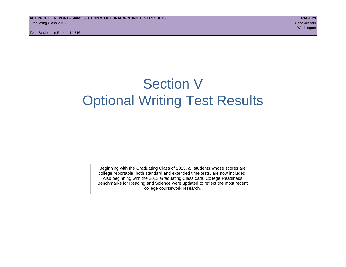# Section V Optional Writing Test Results

Beginning with the Graduating Class of 2013, all students whose scores are college reportable, both standard and extended time tests, are now included. Also beginning with the 2013 Graduating Class data, College Readiness Benchmarks for Reading and Science were updated to reflect the most recent college coursework research.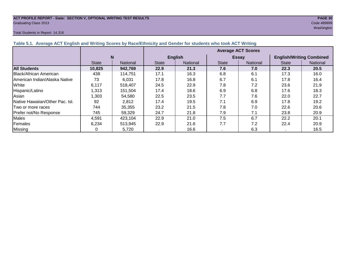# **ACT PROFILE REPORT - State: SECTION V, OPTIONAL WRITING TEST RESULTS PAGE 30** Graduating Class 2013 Code 489999

#### Total Students in Report: 14,316

washington and the control of the control of the control of the control of the control of the control of the control of the control of the control of the control of the control of the control of the control of the control

| Table 5.1. Average ACT English and Writing Scores by Race/Ethnicity and Gender for students who took ACT Writing |              |                 |                           |                 |              |                 |                                 |          |  |  |  |
|------------------------------------------------------------------------------------------------------------------|--------------|-----------------|---------------------------|-----------------|--------------|-----------------|---------------------------------|----------|--|--|--|
|                                                                                                                  |              |                 | <b>Average ACT Scores</b> |                 |              |                 |                                 |          |  |  |  |
|                                                                                                                  |              | N               |                           | <b>English</b>  |              | <b>Essay</b>    | <b>English/Writing Combined</b> |          |  |  |  |
|                                                                                                                  | <b>State</b> | <b>National</b> | <b>State</b>              | <b>National</b> | <b>State</b> | <b>National</b> | <b>State</b>                    | National |  |  |  |
| <b>All Students</b>                                                                                              | 10,825       | 942,769         | 22.9                      | 21.3            | 7.6          | 7.0             | 22.3                            | 20.5     |  |  |  |
| Black/African American                                                                                           | 438          | 114.751         | 17.1                      | 16.3            | 6.8          | 6.1             | 17.3                            | 16.0     |  |  |  |
| American Indian/Alaska Native                                                                                    | 73           | 6,031           | 17.8                      | 16.8            | 6.7          | 6.1             | 17.8                            | 16.4     |  |  |  |
| White                                                                                                            | 6,117        | 518.407         | 24.5                      | 22.9            | 7.8          | 7.2             | 23.6                            | 21.9     |  |  |  |
| Hispanic/Latino                                                                                                  | 1,313        | 151,504         | 17.4                      | 18.6            | 6.9          | 6.8             | 17.6                            | 18.3     |  |  |  |
| Asian                                                                                                            | 1,303        | 54,580          | 22.5                      | 23.5            | 7.7          | 7.6             | 22.0                            | 22.7     |  |  |  |
| Native Hawaiian/Other Pac. Isl.                                                                                  | 92           | 2,812           | 17.4                      | 19.5            | 7.1          | 6.9             | 17.8                            | 19.2     |  |  |  |
| I Two or more races                                                                                              | 744          | 35,355          | 23.2                      | 21.5            | 7.8          | 7.0             | 22.6                            | 20.6     |  |  |  |
| Prefer not/No Response                                                                                           | 745          | 59.329          | 24.7                      | 21.8            | 7.9          | 7.1             | 23.8                            | 20.9     |  |  |  |
| <b>Males</b>                                                                                                     | 4,591        | 423,104         | 22.9                      | 21.0            | 7.5          | 6.7             | 22.2                            | 20.1     |  |  |  |
| Females                                                                                                          | 6,234        | 513,945         | 22.9                      | 21.6            | 7.7          | 7.2             | 22.4                            | 20.9     |  |  |  |
| <b>Missing</b>                                                                                                   |              | 5,720           |                           | 16.6            |              | 6.3             |                                 | 16.5     |  |  |  |